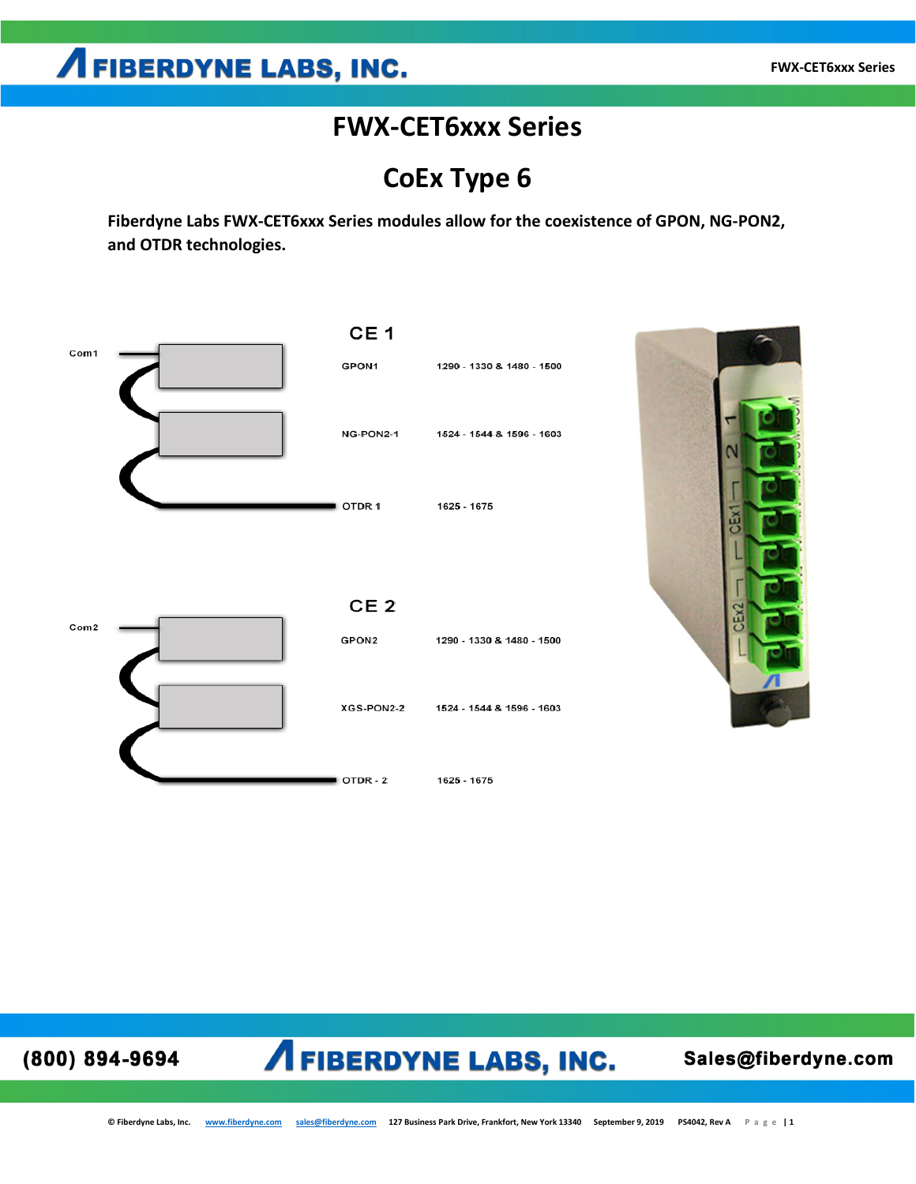## **AFIBERDYNE LABS, INC.**

#### **FWX-CET6xxx Series**

**CoEx Type 6**

**Fiberdyne Labs FWX-CET6xxx Series modules allow for the coexistence of GPON, NG-PON2, and OTDR technologies.** 



(800) 894-9694

## **AFIBERDYNE LABS, INC.**

Sales@fiberdyne.com